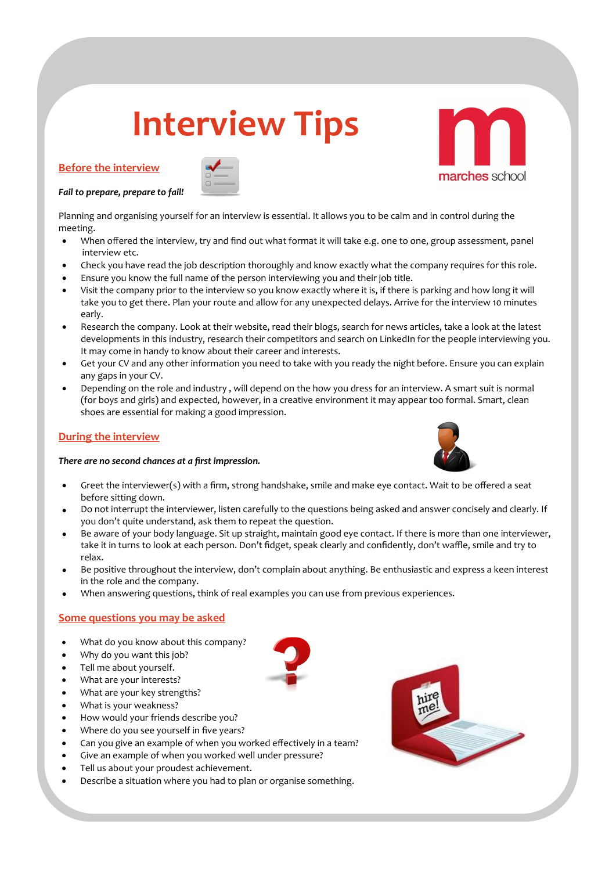# **Interview Tips**

# **Before the interview**



*Fail to prepare, prepare to fail!* 

Planning and organising yourself for an interview is essential. It allows you to be calm and in control during the meeting.

- When offered the interview, try and find out what format it will take e.g. one to one, group assessment, panel interview etc.
- Check you have read the job description thoroughly and know exactly what the company requires for this role.
- Ensure you know the full name of the person interviewing you and their job title.
- Visit the company prior to the interview so you know exactly where it is, if there is parking and how long it will take you to get there. Plan your route and allow for any unexpected delays. Arrive for the interview 10 minutes early.
- Research the company. Look at their website, read their blogs, search for news articles, take a look at the latest developments in this industry, research their competitors and search on LinkedIn for the people interviewing you. It may come in handy to know about their career and interests.
- Get your CV and any other information you need to take with you ready the night before. Ensure you can explain any gaps in your CV.
- Depending on the role and industry , will depend on the how you dress for an interview. A smart suit is normal (for boys and girls) and expected, however, in a creative environment it may appear too formal. Smart, clean shoes are essential for making a good impression.

# **During the interview**

### *There are no second chances at a first impression.*



- Greet the interviewer(s) with a firm, strong handshake, smile and make eye contact. Wait to be offered a seat before sitting down.
- Do not interrupt the interviewer, listen carefully to the questions being asked and answer concisely and clearly. If you don't quite understand, ask them to repeat the question.
- Be aware of your body language. Sit up straight, maintain good eye contact. If there is more than one interviewer, take it in turns to look at each person. Don't fidget, speak clearly and confidently, don't waffle, smile and try to relax.
- Be positive throughout the interview, don't complain about anything. Be enthusiastic and express a keen interest in the role and the company.
- When answering questions, think of real examples you can use from previous experiences.

## **Some questions you may be asked**

- What do you know about this company?
- Why do you want this job?
- Tell me about yourself.
- What are your interests?
- What are your key strengths?
- What is your weakness?
- How would your friends describe you?
- Where do you see yourself in five years?
- Can you give an example of when you worked effectively in a team?
- Give an example of when you worked well under pressure?
- Tell us about your proudest achievement.
- Describe a situation where you had to plan or organise something.